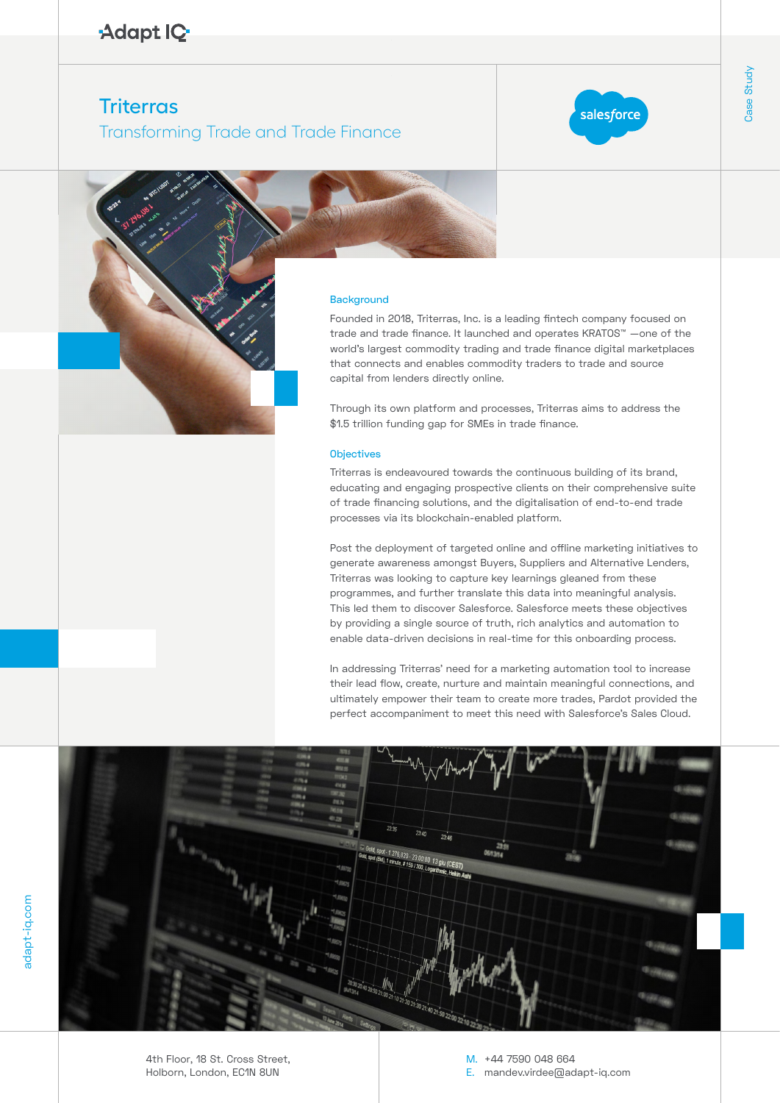# Adapt IQ

# **Triterras**

## Transforming Trade and Trade Finance



#### **Background**

Case Study Founded in 2018, Triterras, Inc. is a leading fintech company focused on trade and trade finance. It launched and operates KRATOS™ —one of the world's largest commodity trading and trade finance digital marketplaces that connects and enables commodity traders to trade and source capital from lenders directly online.

Through its own platform and processes, Triterras aims to address the \$1.5 trillion funding gap for SMEs in trade finance.

## **Objectives**

Triterras is endeavoured towards the continuous building of its brand, educating and engaging prospective clients on their comprehensive suite of trade financing solutions, and the digitalisation of end-to-end trade processes via its blockchain-enabled platform.

Post the deployment of targeted online and offline marketing initiatives to generate awareness amongst Buyers, Suppliers and Alternative Lenders, Triterras was looking to capture key learnings gleaned from these programmes, and further translate this data into meaningful analysis. This led them to discover Salesforce. Salesforce meets these objectives by providing a single source of truth, rich analytics and automation to enable data-driven decisions in real-time for this onboarding process.

In addressing Triterras' need for a marketing automation tool to increase their lead flow, create, nurture and maintain meaningful connections, and ultimately empower their team to create more trades, Pardot provided the perfect accompaniment to meet this need with Salesforce's Sales Cloud.



adapt-iq.com

moo.pi-tapebe